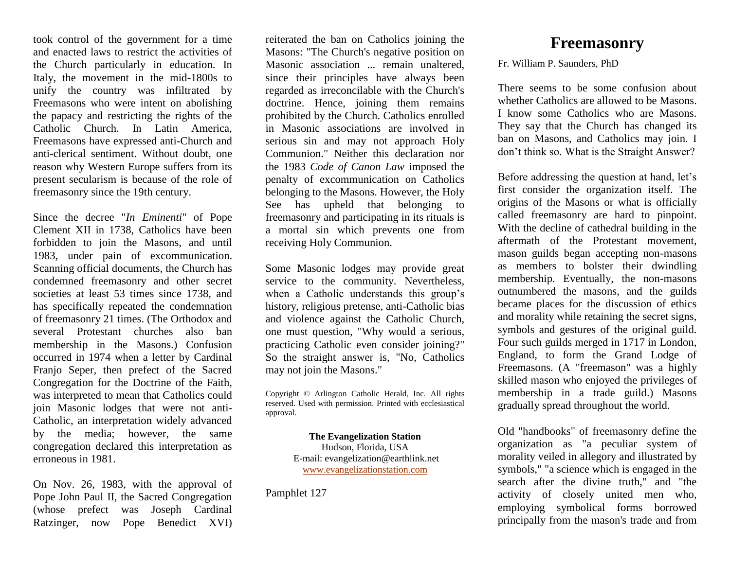took control of the government for a time and enacted laws to restrict the activities of the Church particularly in education. In Italy, the movement in the mid-1800s to unify the country was infiltrated by Freemasons who were intent on abolishing the papacy and restricting the rights of the Catholic Church. In Latin America, Freemasons have expressed anti-Church and anti-clerical sentiment. Without doubt, one reason why Western Europe suffers from its present secularism is because of the role of freemasonry since the 19th century.

Since the decree "*In Eminenti*" of Pope Clement XII in 1738, Catholics have been forbidden to join the Masons, and until 1983, under pain of excommunication. Scanning official documents, the Church has condemned freemasonry and other secret societies at least 53 times since 1738, and has specifically repeated the condemnation of freemasonry 21 times. (The Orthodox and several Protestant churches also ban membership in the Masons.) Confusion occurred in 1974 when a letter by Cardinal Franjo Seper, then prefect of the Sacred Congregation for the Doctrine of the Faith, was interpreted to mean that Catholics could join Masonic lodges that were not anti-Catholic, an interpretation widely advanced by the media; however, the same congregation declared this interpretation as erroneous in 1981.

On Nov. 26, 1983, with the approval of Pope John Paul II, the Sacred Congregation (whose prefect was Joseph Cardinal Ratzinger, now Pope Benedict XVI) reiterated the ban on Catholics joining the Masons: "The Church's negative position on Masonic association ... remain unaltered, since their principles have always been regarded as irreconcilable with the Church's doctrine. Hence, joining them remains prohibited by the Church. Catholics enrolled in Masonic associations are involved in serious sin and may not approach Holy Communion." Neither this declaration nor the 1983 *Code of Canon Law* imposed the penalty of excommunication on Catholics belonging to the Masons. However, the Holy See has upheld that belonging to freemasonry and participating in its rituals is a mortal sin which prevents one from receiving Holy Communion.

Some Masonic lodges may provide great service to the community. Nevertheless, when a Catholic understands this group's history, religious pretense, anti-Catholic bias and violence against the Catholic Church, one must question, "Why would a serious, practicing Catholic even consider joining?" So the straight answer is, "No, Catholics may not join the Masons."

Copyright © Arlington Catholic Herald, Inc. All rights reserved. Used with permission. Printed with ecclesiastical approval.

> **The Evangelization Station** Hudson, Florida, USA E-mail: evangelization@earthlink.net [www.evangelizationstation.com](http://www.pjpiisoe.org/)

Pamphlet 127

## **Freemasonry**

Fr. William P. Saunders, PhD

There seems to be some confusion about whether Catholics are allowed to be Masons. I know some Catholics who are Masons. They say that the Church has changed its ban on Masons, and Catholics may join. I don't think so. What is the Straight Answer?

Before addressing the question at hand, let's first consider the organization itself. The origins of the Masons or what is officially called freemasonry are hard to pinpoint. With the decline of cathedral building in the aftermath of the Protestant movement, mason guilds began accepting non-masons as members to bolster their dwindling membership. Eventually, the non-masons outnumbered the masons, and the guilds became places for the discussion of ethics and morality while retaining the secret signs, symbols and gestures of the original guild. Four such guilds merged in 1717 in London, England, to form the Grand Lodge of Freemasons. (A "freemason" was a highly skilled mason who enjoyed the privileges of membership in a trade guild.) Masons gradually spread throughout the world.

Old "handbooks" of freemasonry define the organization as "a peculiar system of morality veiled in allegory and illustrated by symbols," "a science which is engaged in the search after the divine truth," and "the activity of closely united men who, employing symbolical forms borrowed principally from the mason's trade and from